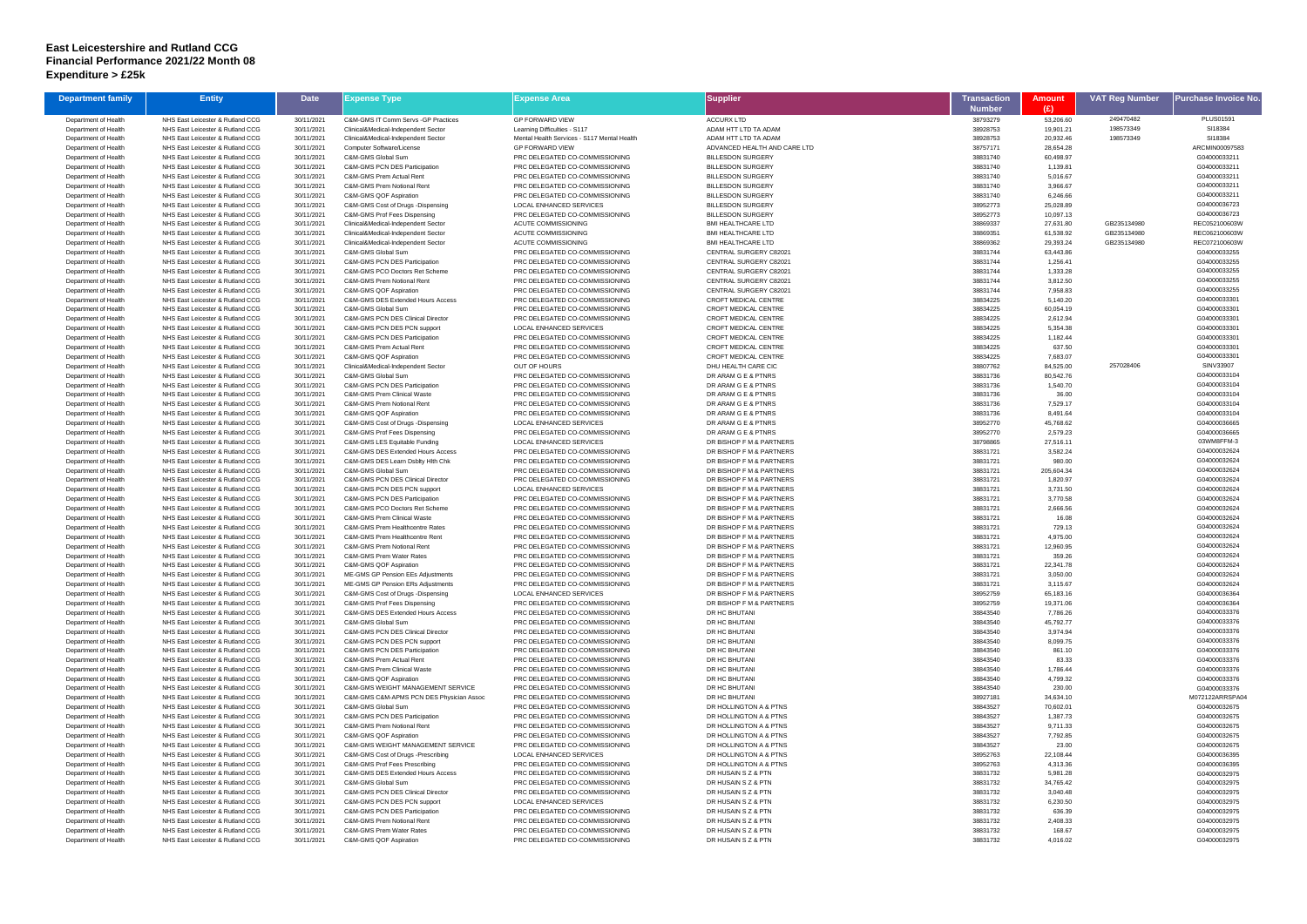## **East Leicestershire and Rutland CCG Financial Performance 2021/22 Month 08 Expenditure > £25k**

| <b>Department family</b>                     | <b>Entity</b>                                                        | <b>Date</b>              | Expense Type                                                                             | Expense Area                                                     | Supplier                                                   | Transaction          | <b>Amount</b>         | <b>VAT Reg Number</b> | Purchase Invoice No             |
|----------------------------------------------|----------------------------------------------------------------------|--------------------------|------------------------------------------------------------------------------------------|------------------------------------------------------------------|------------------------------------------------------------|----------------------|-----------------------|-----------------------|---------------------------------|
|                                              |                                                                      |                          |                                                                                          |                                                                  |                                                            | <b>Number</b>        | (E)                   |                       |                                 |
| Department of Health                         | NHS East Leicester & Rutland CCG                                     | 30/11/2021               | C&M-GMS IT Comm Servs - GP Practices                                                     | <b>GP FORWARD VIEW</b>                                           | <b>ACCURX LTD</b>                                          | 38793279             | 53,206.60             | 249470482             | PLUS01591                       |
| Department of Health                         | NHS East Leicester & Rutland CCG                                     | 30/11/2021               | Clinical&Medical-Independent Sector                                                      | Learning Difficulties - S117                                     | ADAM HTT LTD TA ADAM                                       | 38928753             | 19,901.21             | 198573349             | SI18384                         |
| Department of Health                         | NHS East Leicester & Rutland CCG                                     | 30/11/2021               | Clinical&Medical-Independent Sector                                                      | Mental Health Services - S117 Mental Health                      | ADAM HTT LTD TA ADAM                                       | 38928753             | 20,932.46             | 198573349             | SI18384                         |
| Department of Health                         | NHS East Leicester & Rutland CCG                                     | 30/11/2021               | <b>Computer Software/License</b>                                                         | <b>GP FORWARD VIEW</b>                                           | ADVANCED HEALTH AND CARE LTD                               | 38757171             | 28,654.28             |                       | ARCMIN00097583                  |
| Department of Health<br>Department of Health | NHS East Leicester & Rutland CCG                                     | 30/11/2021               | C&M-GMS Global Sum                                                                       | PRC DELEGATED CO-COMMISSIONING                                   | <b>BILLESDON SURGERY</b>                                   | 38831740             | 60,498.97             |                       | G04000033211<br>G04000033211    |
| Department of Health                         | NHS East Leicester & Rutland CCG<br>NHS East Leicester & Rutland CCG | 30/11/2021<br>30/11/2021 | C&M-GMS PCN DES Participation<br>C&M-GMS Prem Actual Rent                                | PRC DELEGATED CO-COMMISSIONING<br>PRC DELEGATED CO-COMMISSIONING | <b>BILLESDON SURGERY</b><br><b>BILLESDON SURGERY</b>       | 38831740<br>38831740 | 1,139.81<br>5,016.67  |                       | G04000033211                    |
| Department of Health                         | NHS East Leicester & Rutland CCG                                     | 30/11/2021               | <b>C&amp;M-GMS Prem Notional Rent</b>                                                    | PRC DELEGATED CO-COMMISSIONING                                   | <b>BILLESDON SURGERY</b>                                   | 38831740             | 3,966.67              |                       | G04000033211                    |
| Department of Health                         | NHS East Leicester & Rutland CCG                                     | 30/11/2021               | C&M-GMS QOF Aspiration                                                                   | PRC DELEGATED CO-COMMISSIONING                                   | <b>BILLESDON SURGERY</b>                                   | 38831740             | 6,246.66              |                       | G04000033211                    |
| Department of Health                         | NHS East Leicester & Rutland CCG                                     | 30/11/2021               | C&M-GMS Cost of Drugs -Dispensing                                                        | <b>LOCAL ENHANCED SERVICES</b>                                   | <b>BILLESDON SURGERY</b>                                   | 38952773             | 25,028.89             |                       | G04000036723                    |
| Department of Health                         | NHS East Leicester & Rutland CCG                                     | 30/11/2021               | C&M-GMS Prof Fees Dispensing                                                             | PRC DELEGATED CO-COMMISSIONING                                   | <b>BILLESDON SURGERY</b>                                   | 38952773             | 10,097.13             |                       | G04000036723                    |
| Department of Health                         | NHS East Leicester & Rutland CCG                                     | 30/11/2021               | Clinical&Medical-Independent Sector                                                      | ACUTE COMMISSIONING                                              | <b>BMI HEALTHCARE LTD</b>                                  | 38869337             | 27,631.80             | GB235134980           | REC052100603W                   |
| Department of Health                         | NHS East Leicester & Rutland CCG                                     | 30/11/2021               | Clinical&Medical-Independent Sector                                                      | ACUTE COMMISSIONING                                              | <b>BMI HEALTHCARE LTD</b>                                  | 38869351             | 61,538.92             | GB235134980           | REC062100603W                   |
| Department of Health                         | NHS East Leicester & Rutland CCG                                     | 30/11/2021               | Clinical&Medical-Independent Sector                                                      | <b>ACUTE COMMISSIONING</b>                                       | <b>BMI HEALTHCARE LTD</b>                                  | 38869362             | 29,393.24             | GB235134980           | REC072100603W                   |
| Department of Health<br>Department of Health | NHS East Leicester & Rutland CCG<br>NHS East Leicester & Rutland CCG | 30/11/2021               | C&M-GMS Global Sum<br><b>C&amp;M-GMS PCN DES Participation</b>                           | PRC DELEGATED CO-COMMISSIONING<br>PRC DELEGATED CO-COMMISSIONING | CENTRAL SURGERY C82021<br>CENTRAL SURGERY C82021           | 38831744<br>38831744 | 63,443.86<br>1,256.41 |                       | G04000033255<br>G04000033255    |
| Department of Health                         | NHS East Leicester & Rutland CCG                                     | 30/11/2021<br>30/11/2021 | C&M-GMS PCO Doctors Ret Scheme                                                           | PRC DELEGATED CO-COMMISSIONING                                   | <b>CENTRAL SURGERY C82021</b>                              | 38831744             | 1,333.28              |                       | G04000033255                    |
| Department of Health                         | NHS East Leicester & Rutland CCG                                     | 30/11/2021               | C&M-GMS Prem Notional Rent                                                               | PRC DELEGATED CO-COMMISSIONING                                   | CENTRAL SURGERY C82021                                     | 38831744             | 3,812.50              |                       | G04000033255                    |
| Department of Health                         | NHS East Leicester & Rutland CCG                                     | 30/11/2021               | C&M-GMS QOF Aspiration                                                                   | PRC DELEGATED CO-COMMISSIONING                                   | CENTRAL SURGERY C82021                                     | 38831744             | 7,958.83              |                       | G04000033255                    |
| Department of Health                         | NHS East Leicester & Rutland CCG                                     | 30/11/2021               | C&M-GMS DES Extended Hours Access                                                        | PRC DELEGATED CO-COMMISSIONING                                   | CROFT MEDICAL CENTRE                                       | 38834225             | 5,140.20              |                       | G04000033301                    |
| Department of Health                         | NHS East Leicester & Rutland CCG                                     | 30/11/2021               | C&M-GMS Global Sum                                                                       | PRC DELEGATED CO-COMMISSIONING                                   | CROFT MEDICAL CENTRE                                       | 38834225             | 60,054.19             |                       | G04000033301                    |
| Department of Health                         | NHS East Leicester & Rutland CCG                                     | 30/11/2021               | <b>C&amp;M-GMS PCN DES Clinical Director</b>                                             | PRC DELEGATED CO-COMMISSIONING                                   | CROFT MEDICAL CENTRE                                       | 38834225             | 2,612.94              |                       | G04000033301                    |
| Department of Health                         | NHS East Leicester & Rutland CCG                                     | 30/11/2021               | C&M-GMS PCN DES PCN support                                                              | LOCAL ENHANCED SERVICES                                          | <b>CROFT MEDICAL CENTRE</b>                                | 38834225             | 5,354.38              |                       | G04000033301                    |
| Department of Health                         | NHS East Leicester & Rutland CCG                                     | 30/11/2021               | <b>C&amp;M-GMS PCN DES Participation</b>                                                 | PRC DELEGATED CO-COMMISSIONING                                   | <b>CROFT MEDICAL CENTRE</b>                                | 38834225             | 1,182.44              |                       | G0400003330                     |
| Department of Health<br>Department of Health | NHS East Leicester & Rutland CCG<br>NHS East Leicester & Rutland CCG | 30/11/2021               | C&M-GMS Prem Actual Rent<br>C&M-GMS QOF Aspiration                                       | PRC DELEGATED CO-COMMISSIONING<br>PRC DELEGATED CO-COMMISSIONING | <b>CROFT MEDICAL CENTRE</b><br><b>CROFT MEDICAL CENTRE</b> | 38834225<br>38834225 | 637.50                |                       | G04000033301<br>G04000033301    |
| Department of Health                         | NHS East Leicester & Rutland CCG                                     | 30/11/2021<br>30/11/2021 | Clinical&Medical-Independent Sector                                                      | <b>OUT OF HOURS</b>                                              | DHU HEALTH CARE CIC                                        | 38807762             | 7,683.07<br>84,525.00 | 257028406             | SINV33907                       |
| Department of Health                         | NHS East Leicester & Rutland CCG                                     | 30/11/2021               | C&M-GMS Global Sum                                                                       | PRC DELEGATED CO-COMMISSIONING                                   | DR ARAM G E & PTNRS                                        | 38831736             | 80,542.76             |                       | G04000033104                    |
| Department of Health                         | NHS East Leicester & Rutland CCG                                     | 30/11/2021               | <b>C&amp;M-GMS PCN DES Participation</b>                                                 | PRC DELEGATED CO-COMMISSIONING                                   | DR ARAM G E & PTNRS                                        | 38831736             | 1,540.70              |                       | G04000033104                    |
| Department of Health                         | NHS East Leicester & Rutland CCG                                     | 30/11/2021               | <b>C&amp;M-GMS Prem Clinical Waste</b>                                                   | PRC DELEGATED CO-COMMISSIONING                                   | DR ARAM G E & PTNRS                                        | 38831736             | 36.00                 |                       | G04000033104                    |
| Department of Health                         | NHS East Leicester & Rutland CCG                                     | 30/11/2021               | C&M-GMS Prem Notional Rent                                                               | PRC DELEGATED CO-COMMISSIONING                                   | DR ARAM G E & PTNRS                                        | 38831736             | 7,529.17              |                       | G04000033104                    |
| Department of Health                         | NHS East Leicester & Rutland CCG                                     | 30/11/2021               | C&M-GMS QOF Aspiration                                                                   | PRC DELEGATED CO-COMMISSIONING                                   | DR ARAM G E & PTNRS                                        | 38831736             | 8,491.64              |                       | G04000033104                    |
| Department of Health                         | NHS East Leicester & Rutland CCG                                     | 30/11/2021               | C&M-GMS Cost of Drugs -Dispensing                                                        | LOCAL ENHANCED SERVICES                                          | DR ARAM G E & PTNRS                                        | 38952770             | 45,768.62             |                       | G04000036665                    |
| Department of Health<br>Department of Health | NHS East Leicester & Rutland CCG<br>NHS East Leicester & Rutland CCG | 30/11/2021               | C&M-GMS Prof Fees Dispensing                                                             | PRC DELEGATED CO-COMMISSIONING<br>LOCAL ENHANCED SERVICES        | DR ARAM G E & PTNRS<br>DR BISHOP F M & PARTNERS            | 38952770<br>38798865 | 2,579.23              |                       | G04000036665<br>03WM8FFM-3      |
| Department of Health                         | NHS East Leicester & Rutland CCG                                     | 30/11/2021<br>30/11/2021 | C&M-GMS LES Equitable Funding<br>C&M-GMS DES Extended Hours Access                       | PRC DELEGATED CO-COMMISSIONING                                   | DR BISHOP F M & PARTNERS                                   | 38831721             | 27,516.11<br>3,582.24 |                       | G04000032624                    |
| Department of Health                         | NHS East Leicester & Rutland CCG                                     | 30/11/2021               | C&M-GMS DES Learn Dsblty Hith Chk                                                        | PRC DELEGATED CO-COMMISSIONING                                   | DR BISHOP F M & PARTNERS                                   | 38831721             | 980.00                |                       | G04000032624                    |
| Department of Health                         | NHS East Leicester & Rutland CCG                                     | 30/11/2021               | C&M-GMS Global Sum                                                                       | PRC DELEGATED CO-COMMISSIONING                                   | DR BISHOP F M & PARTNERS                                   | 38831721             | 205,604.34            |                       | G04000032624                    |
| Department of Health                         | NHS East Leicester & Rutland CCG                                     | 30/11/2021               | C&M-GMS PCN DES Clinical Director                                                        | PRC DELEGATED CO-COMMISSIONING                                   | DR BISHOP F M & PARTNERS                                   | 38831721             | 1,820.97              |                       | G04000032624                    |
| Department of Health                         | NHS East Leicester & Rutland CCG                                     | 30/11/2021               | C&M-GMS PCN DES PCN support                                                              | LOCAL ENHANCED SERVICES                                          | DR BISHOP F M & PARTNERS                                   | 38831721             | 3,731.50              |                       | G04000032624                    |
| Department of Health                         | NHS East Leicester & Rutland CCG                                     | 30/11/2021               | <b>C&amp;M-GMS PCN DES Participation</b>                                                 | PRC DELEGATED CO-COMMISSIONING                                   | DR BISHOP F M & PARTNERS                                   | 38831721             | 3,770.58              |                       | G04000032624                    |
| Department of Health                         | NHS East Leicester & Rutland CCG                                     | 30/11/2021               | C&M-GMS PCO Doctors Ret Scheme                                                           | PRC DELEGATED CO-COMMISSIONING                                   | DR BISHOP F M & PARTNERS                                   | 38831721             | 2,666.56              |                       | G04000032624                    |
| Department of Health                         | NHS East Leicester & Rutland CCG                                     | 30/11/2021               | <b>C&amp;M-GMS Prem Clinical Waste</b>                                                   | PRC DELEGATED CO-COMMISSIONING                                   | DR BISHOP F M & PARTNERS<br>DR BISHOP F M & PARTNERS       | 38831721             | 16.08                 |                       | G04000032624<br>G04000032624    |
| Department of Health<br>Department of Health | NHS East Leicester & Rutland CCG<br>NHS East Leicester & Rutland CCG | 30/11/2021<br>30/11/2021 | C&M-GMS Prem Healthcentre Rates<br>C&M-GMS Prem Healthcentre Rent                        | PRC DELEGATED CO-COMMISSIONING<br>PRC DELEGATED CO-COMMISSIONING | DR BISHOP F M & PARTNERS                                   | 38831721<br>38831721 | 729.13<br>4,975.00    |                       | G04000032624                    |
| Department of Health                         | NHS East Leicester & Rutland CCG                                     | 30/11/2021               | <b>C&amp;M-GMS Prem Notional Rent</b>                                                    | PRC DELEGATED CO-COMMISSIONING                                   | DR BISHOP F M & PARTNERS                                   | 38831721             | 12,960.95             |                       | G04000032624                    |
| Department of Health                         | NHS East Leicester & Rutland CCG                                     | 30/11/2021               | C&M-GMS Prem Water Rates                                                                 | PRC DELEGATED CO-COMMISSIONING                                   | DR BISHOP F M & PARTNERS                                   | 38831721             | 359.26                |                       | G04000032624                    |
| Department of Health                         | NHS East Leicester & Rutland CCG                                     | 30/11/2021               | C&M-GMS QOF Aspiration                                                                   | PRC DELEGATED CO-COMMISSIONING                                   | DR BISHOP F M & PARTNERS                                   | 38831721             | 22,341.78             |                       | G04000032624                    |
| Department of Health                         | NHS East Leicester & Rutland CCG                                     | 30/11/2021               | ME-GMS GP Pension EEs Adjustments                                                        | PRC DELEGATED CO-COMMISSIONING                                   | DR BISHOP F M & PARTNERS                                   | 38831721             | 3,050.00              |                       | G04000032624                    |
| Department of Health                         | NHS East Leicester & Rutland CCG                                     | 30/11/2021               | ME-GMS GP Pension ERs Adjustments                                                        | PRC DELEGATED CO-COMMISSIONING                                   | DR BISHOP F M & PARTNERS                                   | 38831721             | 3,115.67              |                       | G04000032624                    |
| Department of Health                         | NHS East Leicester & Rutland CCG                                     | 30/11/2021               | C&M-GMS Cost of Drugs -Dispensing                                                        | LOCAL ENHANCED SERVICES                                          | DR BISHOP F M & PARTNERS                                   | 38952759             | 65,183.16             |                       | G04000036364                    |
| Department of Health<br>Department of Health | NHS East Leicester & Rutland CCG<br>NHS East Leicester & Rutland CCG | 30/11/2021<br>30/11/2021 | C&M-GMS Prof Fees Dispensing<br>C&M-GMS DES Extended Hours Access                        | PRC DELEGATED CO-COMMISSIONING<br>PRC DELEGATED CO-COMMISSIONING | DR BISHOP F M & PARTNERS<br>DR HC BHUTANI                  | 38952759<br>38843540 | 19,371.06<br>7,786.26 |                       | G04000036364<br>G04000033376    |
| Department of Health                         | NHS East Leicester & Rutland CCG                                     | 30/11/2021               | C&M-GMS Global Sum                                                                       | PRC DELEGATED CO-COMMISSIONING                                   | DR HC BHUTANI                                              | 38843540             | 45,792.77             |                       | G04000033376                    |
| Department of Health                         | NHS East Leicester & Rutland CCG                                     | 30/11/2021               | C&M-GMS PCN DES Clinical Director                                                        | PRC DELEGATED CO-COMMISSIONING                                   | DR HC BHUTANI                                              | 38843540             | 3,974.94              |                       | G04000033376                    |
| Department of Health                         | NHS East Leicester & Rutland CCG                                     | 30/11/2021               | C&M-GMS PCN DES PCN support                                                              | PRC DELEGATED CO-COMMISSIONING                                   | DR HC BHUTANI                                              | 38843540             | 8,099.75              |                       | G04000033376                    |
| Department of Health                         | NHS East Leicester & Rutland CCG                                     | 30/11/2021               | C&M-GMS PCN DES Participation                                                            | PRC DELEGATED CO-COMMISSIONING                                   | DR HC BHUTANI                                              | 38843540             | 861.10                |                       | G04000033376                    |
| Department of Health                         | NHS East Leicester & Rutland CCG                                     | 30/11/2021               | C&M-GMS Prem Actual Rent                                                                 | PRC DELEGATED CO-COMMISSIONING                                   | DR HC BHUTANI                                              | 38843540             | 83.33                 |                       | G04000033376                    |
| Department of Health                         | NHS East Leicester & Rutland CCG                                     | 30/11/2021               | C&M-GMS Prem Clinical Waste                                                              | PRC DELEGATED CO-COMMISSIONING                                   | DR HC BHUTANI                                              | 38843540             | 1,786.44              |                       | G04000033376                    |
| Department of Health                         | NHS East Leicester & Rutland CCG                                     | 30/11/2021               | C&M-GMS QOF Aspiration                                                                   | PRC DELEGATED CO-COMMISSIONING                                   | DR HC BHUTANI                                              | 38843540             | 4,799.32              |                       | G04000033376                    |
| Department of Health<br>Department of Health | NHS East Leicester & Rutland CCG<br>NHS East Leicester & Rutland CCG | 30/11/2021<br>30/11/2021 | <b>C&amp;M-GMS WEIGHT MANAGEMENT SERVICE</b><br>C&M-GMS C&M-APMS PCN DES Physician Assoc | PRC DELEGATED CO-COMMISSIONING<br>PRC DELEGATED CO-COMMISSIONING | DR HC BHUTANI<br>DR HC BHUTANI                             | 38843540<br>38927181 | 230.00<br>34,634.10   |                       | G04000033376<br>M072122ARRSPA04 |
| Department of Health                         | NHS East Leicester & Rutland CCG                                     | 30/11/2021               | C&M-GMS Global Sum                                                                       | PRC DELEGATED CO-COMMISSIONING                                   | DR HOLLINGTON A & PTNS                                     | 38843527             | 70,602.01             |                       | G04000032675                    |
| Department of Health                         | NHS East Leicester & Rutland CCG                                     | 30/11/2021               | C&M-GMS PCN DES Participation                                                            | PRC DELEGATED CO-COMMISSIONING                                   | DR HOLLINGTON A & PTNS                                     | 38843527             | 1,387.73              |                       | G04000032675                    |
| Department of Health                         | NHS East Leicester & Rutland CCG                                     | 30/11/2021               | C&M-GMS Prem Notional Rent                                                               | PRC DELEGATED CO-COMMISSIONING                                   | DR HOLLINGTON A & PTNS                                     | 38843527             | 9,711.33              |                       | G04000032675                    |
| Department of Health                         | NHS East Leicester & Rutland CCG                                     | 30/11/2021               | C&M-GMS QOF Aspiration                                                                   | PRC DELEGATED CO-COMMISSIONING                                   | DR HOLLINGTON A & PTNS                                     | 38843527             | 7,792.85              |                       | G04000032675                    |
| Department of Health                         | NHS East Leicester & Rutland CCG                                     | 30/11/2021               | C&M-GMS WEIGHT MANAGEMENT SERVICE                                                        | PRC DELEGATED CO-COMMISSIONING                                   | DR HOLLINGTON A & PTNS                                     | 38843527             | 23.00                 |                       | G04000032675                    |
| Department of Health                         | NHS East Leicester & Rutland CCG                                     | 30/11/2021               | C&M-GMS Cost of Drugs -Prescribing                                                       | LOCAL ENHANCED SERVICES                                          | DR HOLLINGTON A & PTNS                                     | 38952763             | 22,108.44             |                       | G04000036395                    |
| Department of Health                         | NHS East Leicester & Rutland CCG                                     | 30/11/2021               | C&M-GMS Prof Fees Prescribing                                                            | PRC DELEGATED CO-COMMISSIONING                                   | DR HOLLINGTON A & PTNS                                     | 38952763             | 4,313.36              |                       | G04000036395                    |
| Department of Health                         | NHS East Leicester & Rutland CCG<br>NHS East Leicester & Rutland CCG | 30/11/2021               | C&M-GMS DES Extended Hours Access<br>C&M-GMS Global Sum                                  | PRC DELEGATED CO-COMMISSIONING                                   | DR HUSAIN S Z & PTN                                        | 38831732<br>38831732 | 5,981.28              |                       | G04000032975                    |
| Department of Health<br>Department of Health | NHS East Leicester & Rutland CCG                                     | 30/11/2021<br>30/11/2021 | C&M-GMS PCN DES Clinical Director                                                        | PRC DELEGATED CO-COMMISSIONING<br>PRC DELEGATED CO-COMMISSIONING | DR HUSAIN S Z & PTN<br>DR HUSAIN S Z & PTN                 | 38831732             | 34,765.42<br>3,040.48 |                       | G04000032975<br>G04000032975    |
| Department of Health                         | NHS East Leicester & Rutland CCG                                     | 30/11/2021               | C&M-GMS PCN DES PCN support                                                              | LOCAL ENHANCED SERVICES                                          | DR HUSAIN S Z & PTN                                        | 38831732             | 6,230.50              |                       | G04000032975                    |
| Department of Health                         | NHS East Leicester & Rutland CCG                                     | 30/11/2021               | <b>C&amp;M-GMS PCN DES Participation</b>                                                 | PRC DELEGATED CO-COMMISSIONING                                   | DR HUSAIN S Z & PTN                                        | 38831732             | 636.39                |                       | G04000032975                    |
| Department of Health                         | NHS East Leicester & Rutland CCG                                     | 30/11/2021               | C&M-GMS Prem Notional Rent                                                               | PRC DELEGATED CO-COMMISSIONING                                   | DR HUSAIN S Z & PTN                                        | 38831732             | 2,408.33              |                       | G04000032975                    |
| Department of Health                         | NHS East Leicester & Rutland CCG                                     | 30/11/2021               | C&M-GMS Prem Water Rates                                                                 | PRC DELEGATED CO-COMMISSIONING                                   | DR HUSAIN S Z & PTN                                        | 38831732             | 168.67                |                       | G04000032975                    |
| Department of Health                         | NHS East Leicester & Rutland CCG                                     | 30/11/2021               | C&M-GMS QOF Aspiration                                                                   | PRC DELEGATED CO-COMMISSIONING                                   | DR HUSAIN S Z & PTN                                        | 38831732             | 4,016.02              |                       | G04000032975                    |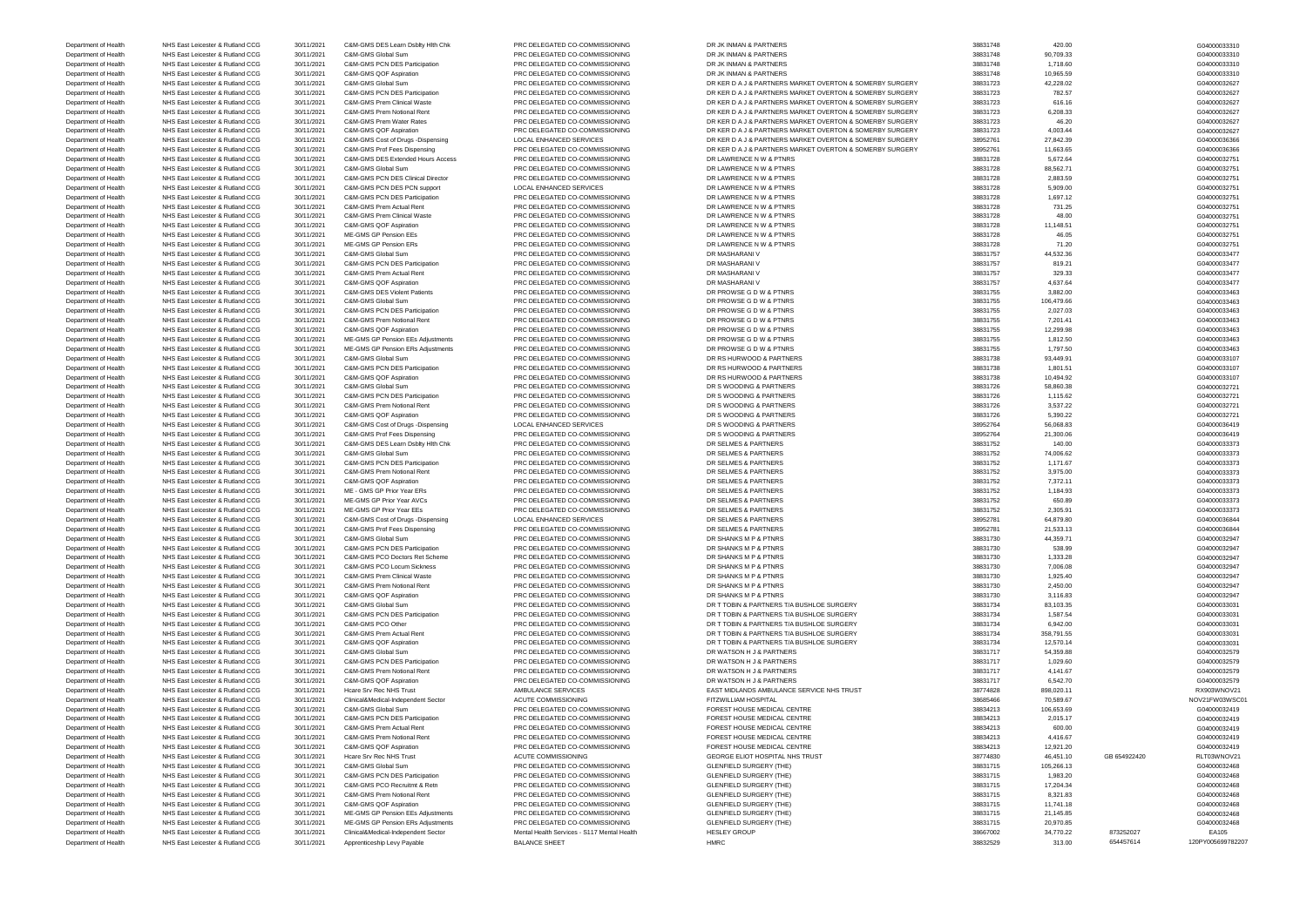Department of Health NHS East Leicester & Rutland CCG 30/11/2021 Apprenticeship Levy Payable BALANCE SHEET HMRC HMRC HMRC 38832529 313.00 654457614 120PY005699782207

Department of Health NHS East Leicester & Rutland CCG 30/11/2021 C&M-GMS DES Learn Dsblty Hlth Chk PRC DELEGATED CO-COMMISSIONING DR JK INMAN & PARTNERS 38831748 38831748 420.00 400000333310 430.00 420.00 420.00 6040000333 Department of Health NHS East Leicester & Rutland CCG 30/11/2021 C&M-GMS Global Sum PRC DELEGATED CO-COMMISSIONING DR JK INMAN & PARTNERS 38831748 38831748 38831748 90,709.33<br>Department of Health NHS East Leicester & Rutla Department of Health NHS East Leicester & Rutland CCG 30/11/2021 C&M-GMS PCN DES Participation PRC DELEGATED CO-COMMISSIONING DR JK INMAN & PARTNERS 38831748 38831748 1,718.60 1,718.60 38831748 39831748 1,718.60 G040000333 Department of Health NHS East Leicester & Rutland CCG 30/11/2021 C&M-GMS QOF Aspiration PRC DELEGATED CO-COMMISSIONING DR JK INMAN & PARTNERS 38831748 38831748 10,965.59 10,965.59 604000033310 Department of Health NHS East Leicester & Rutland CCG 30/11/2021 C&M-GMS Global Sum PRC DELEGATED CO-COMMISSIONING DR KER DAJ & PARTNERS MARKET OVERTON & SOMERBY SURGERY 38831723 42,228.02<br>Department of Health NHS East Lei Department of Health NHS East Leicester & Rutland CCG 30/11/2021 C&M-GMS PCN DES Participation PRC DELEGATED CO-COMMISSIONING DR KER DAJ & PARTNERS MARKET OVERTON & SOMERBY SURGERY 38831723 782.57 782.57 616.16 Department of Health NHS East Leicester & Rutland CCG 30/11/2021 C&M-GMS Prem Clinical Waste PRC DELEGATED CO-COMMISSIONING DR KER D A J & PARTNERS MARKET OVERTON & SOMERBY SURGERY 38831723 616.16 Department of Health NHS East Leicester & Rutland CCG 30/11/2021 C&M-GMS Prem Notional Rent PRC DELEGATED CO-COMMISSIONING DR KER D A J & PARTNERS MARKET OVERTON & SOMERBY SURGERY 38831723 6,208.33 Department of Health NHS East Leicester & Rutland CCG 30/11/2021 C&M-GMS Prem Water Rates PRC DELEGATED CO-COMMISSIONING DR KER D A J & PARTNERS MARKET OVERTON & SOMERRY SURGERY 38831723 46.20 Department of Health NHS East Leicester & Rutland CCG 30/11/2021 C&M-GMS OOF Aspiration PRC DELEGATED CO-COMMISSIONING DR KER D.A. J & PARTNERS MARKET OVERTON & SOMERRY SURGERY 38831723 4,003.44 Department of Health NHS East Leicester & Rutland CCG 30/11/2021 C&M-GMS Cost of Drugs -Dispensing LOCAL ENHANCED SERVICES DR KER DAJ & PARTNERS MARKET OVERTON & SOMERBY SURGERY 38952761 27,842.39<br>Department of Health NHS Department of Health NHS East Leicester & Rutland CCG 30/11/2021 C&M-GMS Prof Fees Dispensing PRC DELEGATED CO-COMMISSIONING DR KER D A J & PARTNERS MARKET OVERTON & SOMERBY SURGERY 38952761 11,663.65 Department of Health NHS East Leicester & Rutland CCG 30/11/2021 C&M-GMS DES Extended Hours Access PRC DELEGATED CO-COMMISSIONING DR LAWRENCE N W & PTNRS 38831728 38831728 5,672.64 5,672.64 5,672.64 6040000032751 Department of Health NHS East Leicester & Rutland CCG 30/11/2021 C&M-GMS Global Sum PRC DELEGATED CO-COMMISSIONING DR LAWRENCE N W & PTNRS 38831728 88,562.71 88,562.71 88,562.71 G04000032751 Department of Health NHS East Leicester & Rutland CCG 30/11/2021 C&M-GMS PCN DES Clinical Director PRC DELEGATED CO-COMMISSIONING DR LAWRENCE N W & PTNRS 38831728 38831728 2,883.59 2,883.59 38831728 2,883.59 G04000032751 Department of Health NHS East Leicester & Rutland CCG 30/11/2021 C&M-GMS PCN DES PCN support LOCAL ENHANCED SERVICES DR LAWRENCE N W & PTNRS 38831728 38831728 5,909.00 5,909.00 5,909.00 604000032751 Department of Health NHS East Leicester & Rutland CCG 30/11/2021 C&M-GMS PCN DES Participation PRC DELEGATED CO-COMMISSIONING DR LAWRENCE N W & PTNRS 38831728 38831728 1,697.12 Department of Health NHS East Leicester & Rutland CCG 30/11/2021 C&M-GMS Prem Actual Rent PRC DELEGATED CO-COMMISSIONING DR LAWRENCE N W & PTNRS 38831728 731.25 731.25 731.25 604000032751 Department of Health NHS East Leicester & Rutland CCG 30/11/2021 C&M-GMS Prem Clinical Waste PRC DELEGATED CO-COMMISSIONING DR LAWRENCE N W & PTNRS 38831728 48.00 48.00 48.00 48.00 49000032751 Department of Health NHS East Leicester & Rutland CCG 30/11/2021 C&M-GMS QOF Aspiration PRC DELEGATED CO-COMMISSIONING DR LAWRENCE N W & PTNRS 38831728 38331728 11,148.51 Department of Health NHS East Leicester & Rutland CCG 30/11/2021 ME-GMS GP Pension EEs PRC DELEGATED CO-COMMISSIONING DR LAWRENCE N W & PTNRS 38831728 38831728 46.05 46.05 46.05 46.05 G04000032751 Department of Health NHS East Leicester & Rutland CCG 30/11/2021 ME-GMS GP Pension ERs PRC DELEGATED CO-COMMISSIONING DR LAWRENCE N W & PTNRS 38831728 71.20 71.20 71.20 71.20 604000032751 Department of Health NHS East Leicester & Rutland CCG 30/11/2021 C&M-GMS Global Sum PRC DELEGATED CO-COMMISSIONING DR MASHARANI V 38831757 38831757 44,532.36 44,532.36 604000033477 Department of Health NHS East Leicester & Rutland CCG 30/11/2021 C&M-GMS PCN DES Participation PRC DELEGATED CO-COMMISSIONING DR MASHARANI V 38831757 819.21 819.21 819.21 604000033477 Department of Health NHS East Leicester & Rutland CCG 30/11/2021 C&M-GMS Prem Actual Rent PRC DELEGATED CO-COMMISSIONING DR MASHARANI V 38831757 329.33 329.33 329.33 SCG4000033477 329.33 SCG4000033477 329.33 SCG4000033477 Department of Health NHS East Leicester & Rutland CCG 30/11/2021 C&M-GMS QOF Aspiration PRC DELEGATED CO-COMMISSIONING DR MASHARANI V 38831757 38831757 4,637.64 4,637.64 604000033477 Department of Health NHS East Leicester & Rutland CCG 30/11/2021 C&M-GMS DES Violent Patients PRC DELEGATED CO-COMMISSIONING DR PROWSE G D W & PTNRS 38831755 3,882.00 Department of Health NHS East Leicester & Rutland CCG 30/11/2021 C&M-GMS Global Sum PRC DELEGATED CO-COMMISSIONING DR PROWSE G D W & PTNRS 38831755 106,479.66 106,479.66 604000033463 Department of Health NHS East Leicester & Rutland CCG 30/11/2021 C&M-GMS PCN DES Participation PRC DELEGATED CO-COMMISSIONING DR PROWSE G D W & PTNRS 38831755 2,027.03 2631755 2,027.03 604000033463 Department of Health NHS East Leicester & Rutland CCG 30/11/2021 C&M-GMS Prem Notional Rent PRC DELEGATED CO-COMMISSIONING DR PROWSE G D W & PTNRS 38831755 7,201.41 38831755 7,201.41 G04000033463 Department of Health NHS East Leicester & Rutland CCG 30/11/2021 C&M-GMS QOF Aspiration PRC DELEGATED CO-COMMISSIONING DR PROWSE G D W & PTNRS 38831755 38831755 12,299.98 Department of Health NHS East Leicester & Rutland CCG 30/11/2021 ME-GMS GP Pension EEs Adjustments PRC DELEGATED CO-COMMISSIONING DR PROWSE G D W & PTNRS 38831755 38831755 1,812.50 1,812.50 504000033463 Department of Health NHS East Leicester & Rutland CCG 30/11/2021 ME-GMS GP Pension ERs Adjustments PRC DELEGATED CO-COMMISSIONING DR PROWSE G D W & PTNRS 38831755 38831755 1,797.50 1,797.50 38831755 1,797.50 604000033463 Department of Health NHS East Leicester & Rutland CCG 30/11/2021 C&M-GMS Global Sum PRC DELEGATED CO-COMMISSIONING DR RS HURWOOD & PARTNERS 38831738 38831738 93,449.91 93,449.91 G04000033107 Department of Health NHS East Leicester & Rutland CCG 30/11/2021 C&M-GMS PCN DES Participation PRC DELEGATED CO-COMMISSIONING DR RS HURWOOD & PARTNERS 38831738 38831738 1,801.51 504000033107 Department of Health NHS East Leicester & Rutland CCG 30/11/2021 C&M-GMS QOF Aspiration PRC DELEGATED CO-COMMISSIONING DR RS HURWOOD & PARTNERS 38831738 38831738 10,494.92 10,494.92 604000033107 Department of Health NHS East Leicester & Rutland CCG 30/11/2021 C&M-GMS Global Sum PRC DELEGATED CO-COMMISSIONING DR S WOODING & PARTNERS 38831726 38831726 58,860.38 5860.38 SSA SCOLOGO 39831726 58,860.38 SSA SCOLOGO 3983 Department of Health NHS East Leicester & Rutland CCG 30/11/2021 C&M-GMS PCN DES Participation PRC DELEGATED CO-COMMISSIONING DR S WOODING & PARTNERS 38831726 38831726 1,115.62 1,115.62 504000032721 Department of Health NHS East Leicester & Rutland CCG 30/11/2021 C&M-GMS Prem Notional Rent PRC DELEGATED CO-COMMISSIONING DR S WOODING & PARTNERS 38831726 3,537.22 38831726 3,537.22 SCOLOGO 3,537.22 SCOLOGO 3,537.22 SCOLO net of Health NHS East Leicester & Rutland CCG 30/11/2021 C&M-GMS QOF Aspiration PRC DELEGATED CO-COMMISSIONING DR S WOODING & PARTNERS 38831726 38831726 5,390.22<br>Department of Health NHS East Leicester & Rutland CCG 30/11 Department of Health NHS East Leicester & Rutland CCG 30/11/2021 C&M-GMS Cost of Drugs -Dispensing LOCAL ENHANCED SERVICES DR S WOODING & PARTNERS 38952764 38952764 56,068.83 56,068.83 G04000036419 Department of Health NHS East Leicester & Rutland CCG 30/11/2021 C&M-GMS Prof Fees Dispensing PRC DELEGATED CO-COMMISSIONING DR S WOODING & PARTNERS 38952764 21,300.06 21,300.06 21,300.06 38952764 21,300.06 G04000036419 Department of Health NHS East Leicester & Rutland CCG 30/11/2021 C&M-GMS DES Learn Dsblty Hlth Chk PRC DELEGATED CO-COMMISSIONING DR SELMES & PARTNERS 38831752 38831752 140.00 140.00 SQ40000333737 Department of Health NHS East Leicester & Rutland CCG 30/11/2021 C&M-GMS Global Sum PRC DELEGATED CO-COMMISSIONING DR SELMES & PARTNERS ARTNERS 38831752 38831752 74,006.62<br>Department of Health NHS East Leicester & Rutland Department of Health NHS East Leicester & Rutland CCG 30/11/2021 C&M-GMS PCN DES Participation PRC DELEGATED CO-COMMISSIONING DR SELMES & PARTNERS 38831752 38831752 1,171.67 38831752 1,171.67 39831752 1,171.67 G04000033373 Department of Health NHS East Leicester & Rutland CCG 30/11/2021 C&M-GMS Prem Notional Rent PRC DELEGATED CO-COMMISSIONING DR SELMES & PARTNERS 38831752 3,975.00 38831752 3,975.00 39831752 3,975.00 3.975.00 G04000033373 Department of Health NHS East Leicester & Rutland CCG 30/11/2021 C&M-GMS QOF Aspiration PRC DELEGATED CO-COMMISSIONING DR SELMES & PARTNERS 38831752 38831752 7,372.11 7,372.11 604000033373 Department of Health NHS East Leicester & Rutland CCG 30/11/2021 ME - GMS GP Prior Year ERs PRC DELEGATED CO-COMMISSIONING DR SELMES & PARTNERS 38831752 38831752 1,184.93 1,184.93 G04000033373 Department of Health NHS East Leicester & Rutland CCG 30/11/2021 ME-GMS GP Prior Year AVCs PRC DELEGATED CO-COMMISSIONING DR SELMES & PARTNERS 38831752 650.89 650.89 660.89 660.89 660.89 Department of Health NHS East Leicester & Rutland CCG 30/11/2021 ME-GMS GP Prior Year EEs PRC DELEGATED CO-COMMISSIONING DR SELMES & PARTNERS 38831752 38831752 2,305.91 2,305.91 G04000033373 Department of Health NHS East Leicester & Rutland CCG 30/11/2021 C&M-GMS Cost of Drugs -Dispensing LOCAL ENHANCED SERVICES DR SELMES & PARTNERS 38952781 38952781 64,879.80 64,879.80 G04000036844 Department of Health NHS East Leicester & Rutland CCG 30/11/2021 C&M-GMS Prof Fees Dispensing PRC DELEGATED CO-COMMISSIONING DR SELMES & PARTNERS 38952781 21,533.13 Department of Health NHS East Leicester & Rutland CCG 30/11/2021 C&M-GMS Global Sum PRC DELEGATED CO-COMMISSIONING DR SHANKS M P & PTNRS 38831730 44,359.71 44,359.71 604000032947 Department of Health NHS East Leicester & Rutland CCG 30/11/2021 C&M-GMS PCN DES Participation PRC DELEGATED CO-COMMISSIONING DR SHANKS M P & PTNRS 38831730 538.99 538.99 538.99 538.99 538.99 538.99 538.99 538.99 538.99 53 Department of Health NHS East Leicester & Rutland CCG 30/11/2021 C&M-GMS PCO Doctors Ret Scheme PRC DELEGATED CO-COMMISSIONING DR SHANKS M P & PTNRS 38831730 38831730 1,333.28 Department of Health NHS East Leicester & Rutland CCG 30/11/2021 C&M-GMS PCO Locum Sickness PRC DELEGATED CO-COMMISSIONING DR SHANKS M P & PTNRS 38831730 38831730 7,006.08 7,006.08 604000032947 Department of Health NHS East Leicester & Rutland CCG 30/11/2021 C&M-GMS Prem Clinical Waste PRC DELEGATED CO-COMMISSIONING DR SHANKS M P & PTNRS 38831730 38831730 1,925.40 1,925.40 604000032947 Department of Health NHS East Leicester & Rutland CCG 30/11/2021 C&M-GMS Prem Notional Rent PRC DELEGATED CO-COMMISSIONING DR SHANKS M P & PTNRS 38831730 38831730 2,450.00 2,450.00 2,450.00 38831730 3.9831730 2,450.00 G040 Department of Health NHS East Leicester & Rutland CCG 30/11/2021 C&M-GMS QOF Aspiration PRC DELEGATED CO-COMMISSIONING DR SHANKS M P & PTNRS 38831730 3,8831730 3,116.83 38831730 3,116.83 G04000032947 Department of Health NHS East Leicester & Rutland CCG 30/11/2021 C&M-GMS Global Sum PRC DELEGATED CO-COMMISSIONING DR T TOBIN & PARTNERS T/A BUSHLOE SURGERY 38831734 83,103.35 83831734 83,103.35 604000033031 Department of Health NHS East Leicester & Rutland CCG 30/11/2021 C&M-GMS PCN DES Participation PRC DELEGATED CO-COMMISSIONING DR T TOBIN & PARTNERS T/A BUSHLOE SURGERY 38831734 38831734 1,587.54 1,587.54 604000033031 Department of Health NHS East Leicester & Rutland CCG 30/11/2021 C&M-GMS PCO Other PRC DELEGATED CO-COMMISSIONING DR T TOBIN & PARTNERS T/A BUSHLOE SURGERY 38831734 38831734 6,942.00 604000033031 Department of Health NHS East Leicester & Rutland CCG 30/11/2021 C&M-GMS Prem Actual Rent PRC DELEGATED CO-COMMISSIONING DR T TOBIN & PARTNERS T/A BUSHLOE SURGERY 38831734 35831734 35831734 358.791.55 Department of Health NHS East Leicester & Rutland CCG 30/11/2021 C&M-GMS QOF Aspiration PRC DELEGATED CO-COMMISSIONING DR TTOBIN & PARTNERS T/A BUSHLOE SURGERY 38831734 38831734 12,570.14 12,570.14 2.570.14 CAG 30/11/2021 Department of Health NHS East Leicester & Rutland CCG 30/11/2021 C&M-GMS Global Sum PRC DELEGATED CO-COMMISSIONING DR WATSON H J & PARTNERS 38831717 54,359.88 Department of Health NHS East Leicester & Rutland CCG 30/11/2021 C&M-GMS PCN DES Participation PRC DELEGATED CO-COMMISSIONING DR WATSON H J & PARTNERS 38831717 38831717 1,029.60 38831717 1,029.60 39831717 1,029.60 G0400003 Department of Health NHS East Leicester & Rutland CCG 30/11/2021 C&M-GMS Prem Notional Rent PRC DELEGATED CO-COMMISSIONING DR WATSON H J & PARTNERS 38831717 4,141.67 4,141.67 4,141.67 604000032579 Department of Health NHS East Leicester & Rutland CCG 30/11/2021 C&M-GMS QOF Aspiration PRC DELEGATED CO-COMMISSIONING DR WATSON H J & PARTNERS 38831717 38831717 6,542.70 6,542.70 6,94000032579 Department of Health NHS East Leicester & Rutland CCG 30/11/2021 Hcare Srv Rec NHS Trust AMBULANCE SERVICES EAST MIDLANDS AMBULANCE SERVICE NHS TRUST 38774828 898,020.11 Department of Health NHS East Leicester & Rutland CCG 30/11/2021 Clinical&Medical-Independent Sector ACUTE COMMISSIONING FITZWILLIAM HOSPITAL 38685466 70,589.67 38685466 70,589.67 NOV21FW03WSC01 Department of Health NHS East Leicester & Rutland CCG 30/11/2021 C&M-GMS Global Sum PRC DELEGATED CO-COMMISSIONING FOREST HOUSE MEDICAL CENTRE 38834213 106,653.69 106,653.69 504000032419 Department of Health NHS East Leicester & Rutland CCG 30/11/2021 C&M-GMS PCN DES Participation PRC DELEGATED CO-COMMISSIONING FOREST HOUSE MEDICAL CENTRE 38834213 2,015.17 2,015.17 2,015.17 38834213 2,015.17 G040000032419 Department of Health NHS East Leicester & Rutland CCG 30/11/2021 C&M-GMS Prem Actual Rent PRC DELEGATED CO-COMMISSIONING FOREST HOUSE MEDICAL CENTRE 38834213 600.00 600.00 600.00 600.00 60000032419 Department of Health NHS East Leicester & Rutland CCG 30/11/2021 C&M-GMS Prem Notional Rent PRC DELEGATED CO-COMMISSIONING FOREST HOUSE MEDICAL CENTRE 38834213 4,416.67 4,416.67 4,416.67 604000032419 Department of Health NHS East Leicester & Rutland CCG 30/11/2021 C&M-GMS QOF Aspiration PRC DELEGATED CO-COMMISSIONING FOREST HOUSE MEDICAL CENTRE 38834213 12,921.20 12,921.20 38834213 12,921.20 604000032419 Department of Health NHS East Leicester & Rutland CCG 30/11/2021 Hcare Srv Rec NHS Trust ACUTE COMMISSIONING GEORGE ELIOT HOSPITAL NHS TRUST 38774830 46,451.10 GB 654922420 RLT03WNOV21 Department of Health NHS East Leicester & Rutland CCG 30/11/2021 C&M-GMS Global Sum PRC DELEGATED CO-COMMISSIONING GLENFIELD SURGERY (THE) 38831715 38831715 105,266.13 604000032468 Department of Health NHS East Leicester & Rutland CCG 30/11/2021 C&M-GMS PCN DES Participation PRC DELEGATED CO-COMMISSIONING GLENFIELD SURGERY (THE) 38831715 38831715 1,983.20 1,983.20 604000032468 Department of Health NHS East Leicester & Rutland CCG 30/11/2021 C&M-GMS PCO Recruitmt & Retn PRC DELEGATED CO-COMMISSIONING GLENFIELD SURGERY (THE) 38831715 38831715 17,204.34 38831715 17,204.34 G04000032468 Department of Health NHS East Leicester & Rutland CCG 30/11/2021 C&M-GMS Prem Notional Rent PRC DELEGATED CO-COMMISSIONING GLENFIELD SURGERY (THE) 38831715 8,321.83 8831715 8,321.83 604000032468 Department of Health NHS East Leicester & Rutland CCG 30/11/2021 C&M-GMS QOF Aspiration PRC DELEGATED CO-COMMISSIONING GLENFIELD SURGERY (THE) 38831715 38831715 11,741.18 11,741.18 G04000032468 Department of Health NHS East Leicester & Rutland CCG 30/11/2021 ME-GMS GP Pension EEs Adjustments PRC DELEGATED CO-COMMISSIONING GLENFIELD SURGERY (THE) 38831715 38831715 21,145.85 21,145.85 39831715 21,145.85 G0400000324 Department of Health NHS East Leicester & Rutland CCG 30/11/2021 ME-GMS GP Pension ERs Adjustments PRC DELEGATED CO-COMMISSIONING GLENFIELD SURGERY (THE) 38831715 38831715 20,970.85 20,970.85 G04000032468 Department of Health NHS East Leicester & Rutland CCG 30/11/2021 Clinical&Medical-Independent Sector Mental Health Services - S117 Mental Health Services - S117 Mental Health Metal Health Health Health Health HESLEY GROUP

| G04000033310        |
|---------------------|
| G04000033310        |
| G04000033310        |
|                     |
| G04000033310        |
| G04000032627        |
| G04000032627        |
| G04000032627        |
| G04000032627        |
| G04000032627        |
| G04000032627        |
| G04000036366        |
| G04000036366        |
| G04000032751        |
| G04000032751        |
| G04000032751        |
| G04000032751        |
| G04000032751        |
| G04000032751        |
| G04000032751        |
|                     |
| G04000032751        |
| G04000032751        |
| G04000032751        |
| G04000033477        |
| G0400003347<br>7    |
| G04000033477        |
| G04000033477        |
| G04000033463        |
| G04000033463        |
| G04000033463        |
| G04000033463        |
| G04000033463        |
| G04000033463        |
| G04000033463        |
| G04000033107        |
|                     |
| G04000033107        |
| G04000033107        |
| G04000032721        |
| G04000032721        |
| G04000032721        |
| G04000032721        |
| G04000036419        |
| G04000036419        |
| G04000033373        |
| G04000033373        |
| G04000033373        |
| G04000033373        |
| G04000033373        |
| G04000033373        |
| G04000033373        |
|                     |
| G04000033373        |
| G04000036844        |
| G04000036844        |
| G04000032947        |
| G04000032947        |
| G04000032947        |
| G04000032947        |
| G04000032947        |
| G04000032947        |
| G04000032947        |
| G04000033031        |
| G04000033031        |
| G04000033031        |
| G04000033031        |
| G04000033031        |
| G04000032579        |
|                     |
| G04000032579        |
| G04000032579        |
| G04000032579        |
| RX903WNOV21         |
| N.<br>0V21FW03WSC01 |
| G04000032419        |
| G04000032419        |
| G04000032419        |
| G04000032419        |
| G04000032419        |
| RLT03WNOV21         |
| G04000032468        |
| G04000032468        |
| G04000032468        |
| G04000032468        |
| G04000032468        |
| G04000032468        |
| G04000032468        |
|                     |
| EA105               |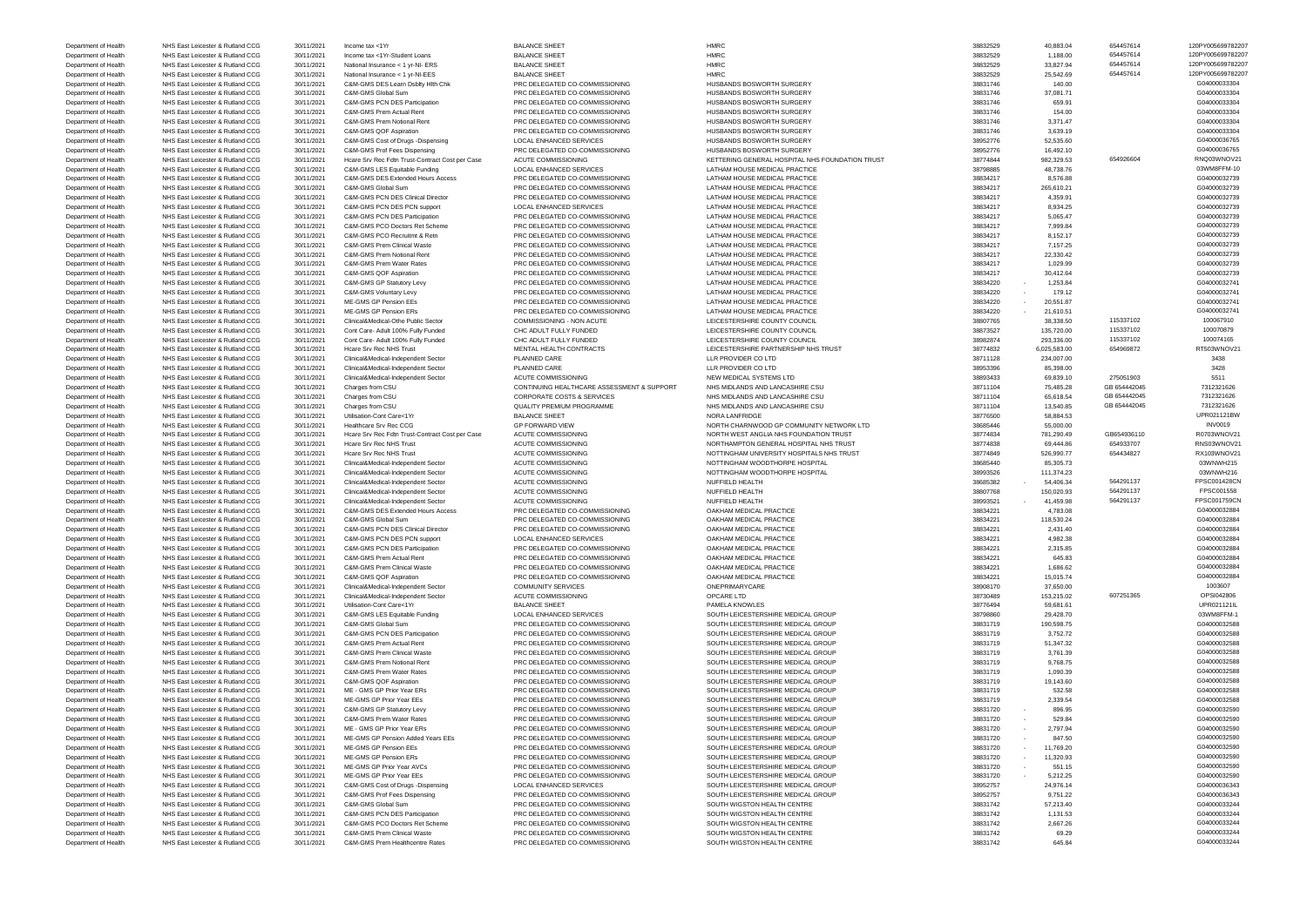Department of Health NHS East Leicester & Rutland CCG 30/11/2021 Income tax <1Yr BALANCE SHEET HMRC 38832529 40,883.04 654457614 120PY005699782207 Department of Health NHS East Leicester & Rutland CCG 30/11/2021 Income tax <1Yr-Student Loans BALANCE SHEET HMRC HMRC 38832529 1,188.00 654457614 120PY005699782207 Department of Health NHS East Leicester & Rutland CCG 30/11/2021 National Insurance < 1 yr-NI- ERS BALANCE SHEET HMRC HMRC 38832529 33,827.94 654457614 654457614 120PY005699782207 Department of Health NHS East Leicester & Rutland CCG 30/11/2021 National Insurance < 1 yr-NI-EES BALANCE SHEET HMRC HMRC 38832529 25,542.69 654457614 120PY005699782207 Department of Health NHS East Leicester & Rutland CCG 30/11/2021 C&M-GMS DES Learn Dsblty Hlth Chk PRC DELEGATED CO-COMMISSIONING HUSBANDS BOSWORTH SURGERY 38831746 38831746 140.00 140.00 S04000033304 Department of Health NHS East Leicester & Rutland CCG 30/11/2021 C&M-GMS Global Sum PRC DELEGATED CO-COMMISSIONING HUSBANDS BOSWORTH SURGERY 38831746 38831746 37,081.71 38831746 37,081.71 G04000033304 Department of Health NHS East Leicester & Rutland CCG 30/11/2021 C&M-GMS PCN DES Participation PRC DELEGATED CO-COMMISSIONING HUSBANDS BOSWORTH SURGERY 38831746 38831746 659.91 604000033304 Department of Health NHS East Leicester & Rutland CCG 30/11/2021 C&M-GMS Prem Actual Rent PRC DELEGATED CO-COMMISSIONING HUSBANDS BOSWORTH SURGERY 38831746 38831746 154.00 154.00 S04000033304 Department of Health NHS East Leicester & Rutland CCG 30/11/2021 C&M-GMS Prem Notional Rent PRC DELEGATED CO-COMMISSIONING HUSBANDS BOSWORTH SURGERY 3,371.47 38831746 3,371.47 38831746 3,371.47 38831746 3,371.47 Department of Health NHS East Leicester & Rutland CCG 30/11/2021 C&M-GMS QOF Aspiration PRC DELEGATED CO-COMMISSIONING HUSBANDS BOSWORTH SURGERY 3,639.1746 3,639.19 38831746 3,639.19 S04000033304 Department of Health NHS East Leicester & Rutland CCG 30/11/2021 C&M-GMS Cost of Drugs -Dispensing LOCAL ENHANCED SERVICES HUSBANDS BOSWORTH SURGERY 38952776 38952776 52,535.60 52,535.60 604000036765 Department of Health NHS East Leicester & Rutland CCG 30/11/2021 C&M-GMS Prof Fees Dispensing PRC DELEGATED CO-COMMISSIONING HUSBANDS BOSWORTH SURGERY SURGERY 38952776 16,492.10 504000036765 16,992.99.53 654926604 60400003 Department of Health NHS East Leicester & Rutland CCG 30/11/2021 Hcare Srv Rec Fdtn Trust-Contract Cost per Case ACUTE COMMISSIONING KETTERING GENERAL HOSPITAL NHS FOUNDATION TRUST 38774844 982,329.53 654926604 RNQ03WNOV21 Department of Health NHS East Leicester & Rutland CCG 30/11/2021 C&M-GMS LES Equitable Funding LOCAL ENHANCED SERVICES LATHAM HOUSE MEDICAL PRACTICE 38798885 38798885 48,738.76 48,738.76 38WM8FFM-10 Department of Health NHS East Leicester & Rutland CCG 30/11/2021 C&M-GMS DES Extended Hours Access PRC DELEGATED CO-COMMISSIONING LATHAM HOUSE MEDICAL PRACTICE 38834217 38834217 8,576.88 604000032739 Department of Health NHS East Leicester & Rutland CCG 30/11/2021 C&M-GMS Global Sum PRC DELEGATED CO-COMMISSIONING LATHAM HOUSE MEDICAL PRACTICE 38834217 38834217 265,610.21 265,610.21 G040000032739 Department of Health NHS East Leicester & Rutland CCG 30/11/2021 C&M-GMS PCN DES Clinical Director PRC DELEGATED CO-COMMISSIONING LATHAM HOUSE MEDICAL PRACTICE 38834217 4,359.91 4,359.91 5040000032739 4,359.91 G04000003273 Department of Health NHS East Leicester & Rutland CCG 30/11/2021 C&M-GMS PCN DES PCN support LOCAL ENHANCED SERVICES LATHAM HOUSE MEDICAL PRACTICE 38834217 38834217 8,934.25 38834217 8,934.25 604000032739 Department of Health NHS East Leicester & Rutland CCG 30/11/2021 C&M-GMS PCN DES Participation PRC DELEGATED CO-COMMISSIONING LATHAM HOUSE MEDICAL PRACTICE 38834217 38834217 5,065.47 5,065.47 604000032739 Department of Health NHS East Leicester & Rutland CCG 30/11/2021 C&M-GMS PCO Doctors Ret Scheme PRC DELEGATED CO-COMMISSIONING LATHAM HOUSE MEDICAL PRACTICE 38834217 3899.84 38834217 7,999.84 604000032739 Department of Health NHS East Leicester & Rutland CCG 30/11/2021 C&M-GMS PCO Recruitmt & Retn PRC DELEGATED CO-COMMISSIONING LATHAM HOUSE MEDICAL PRACTICE 38834217 38834217 8,152.17 8,152.17 38834217 8,152.17 6040000032739 Department of Health NHS East Leicester & Rutland CCG 30/11/2021 C&M-GMS Prem Clinical Waste PRC DELEGATED CO-COMMISSIONING LATHAM HOUSE MEDICAL PRACTICE 38834217 38834217 7,157.25 7,157.25 6040000032739 Department of Health NHS East Leicester & Rutland CCG 30/11/2021 C&M-GMS Prem Notional Rent PRC DELEGATED CO-COMMISSIONING LATHAM HOUSE MEDICAL PRACTICE 38834217 38834217 22,330.42 38834217 32,330.42 G040000032739 Department of Health NHS East Leicester & Rutland CCG 30/11/2021 C&M-GMS Prem Water Rates PRC DELEGATED CO-COMMISSIONING LATHAM HOUSE MEDICAL PRACTICE 38834217 38834217 1,029.99 38834217 1,029.99 504000032739 Department of Health NHS East Leicester & Rutland CCG 30/11/2021 C&M-GMS QOF Aspiration PRC DELEGATED CO-COMMISSIONING LATHAM HOUSE MEDICAL PRACTICE 38834217 30,412.64 38834217 30,412.64 SCO4000032739 Department of Health NHS East Leicester & Rutland CCG 30/11/2021 C&M-GMS GP Statutory Levy PRC DELEGATED CO-COMMISSIONING LATHAM HOUSE MEDICAL PRACTICE 38834220 - 1,253.84 38834220 - 1,253.84 G04000032741 Department of Health NHS East Leicester & Rutland CCG 30/11/2021 C&M-GMS Voluntary Levy PRC DELEGATED CO-COMMISSIONING LATHAM HOUSE MEDICAL PRACTICE 38834220 - 179.12 38834220 - 179.12 G04000032741 Department of Health NHS East Leicester & Rutland CCG 30/11/2021 ME-GMS GP Pension EEs PRC DELEGATED CO-COMMISSIONING LATHAM HOUSE MEDICAL PRACTICE 38834220 - 20,551.87 38834220 - 20,551.87 G04000032741 Department of Health NHS East Leicester & Rutland CCG 30/11/2021 ME-GMS GP Pension ERs PRC DELEGATED CO-COMMISSIONING LATHAM HOUSE MEDICAL PRACTICE 38834220 - 21,610.51 38834220 - 21,610.51 G040000032741 Department of Health NHS East Leicester & Rutland CCG 30/11/2021 Clinical&Medical-Othe Public Sector COMMISSIONING - NON ACUTE LEICESTERSHIRE COUNTY COUNCIL 38,33807765 38,338.50 115337102 100067910 Department of Health NHS East Leicester & Rutland CCG 30/11/2021 Cont Care- Adult 100% Fully Funded CHC ADULT FULLY FUNDED LEICESTERSHIRE COUNTY COUNCIL 2000 2000 135,720.00 115337102 100070879 Department of Health NHS East Leicester & Rutland CCG 30/11/2021 Cont Care- Adult 100% Fully Funded CHC ADULT FULLY FUNDED LEICESTERSHIRE COUNTY COUNCIL 38982874 38982874 293,336.00 115337102 100074165 Department of Health NHS East Leicester & Rutland CCG 30/11/2021 Hcare Srv Rec NHS Trust MENTAL HEALTH CONTRACTS LEICESTERSHIRE PARTNERSHIP NHS TRUST 38774832 6,025,583.00 654969872 RT503WNOV21 Department of Health NHS East Leicester & Rutland CCG 30/11/2021 Clinical&Medical-Independent Sector PLANNED CARE LLR PROVIDER CO LTD 38711128 38711128 234,007.00 33438 Department of Health NHS East Leicester & Rutland CCG 30/11/2021 Clinical&Medical-Independent Sector PLANNED CARE LLR PROVIDER CO LTD 38953396 38953396 85,398.00 3428 Department of Health NHS East Leicester & Rutland CCG 30/11/2021 Clinical&Medical-Independent Sector ACUTE COMMISSIONING NEW MEDICAL SYSTEMS LTD 38893433 8983433 69,839.10 275051903 5511 Department of Health NHS East Leicester & Rutland CCG 30/11/2021 Charges from CSU CONTINUING HEALTHCARE ASSESSMENT & SUPPORT NHS MIDLANDS AND LANCASHIRE CSU CONTINUING HEALTHCARE ASSESSMENT & SUPPORT NHS MIDLANDS AND LANCA Department of Health NHS East Leicester & Rutland CCG 30/11/2021 Charges from CSU CORPORATE COSTS & SERVICES NHS MIDLANDS AND LANCASHIRE CSU 38711104 85,618.54 GB 654442045 7312321626 Department of Health NHS East Leicester & Rutland CCG 30/11/2021 Charges from CSU QUALITY PREMIUM PROGRAMME NHS MIDLANDS AND LANCASHIRE CSU 38711104 38711104 13,540.85 GB 654442045 7312321626 Department of Health NHS East Leicester & Rutland CCG 30/11/2021 Utilisation-Cont Care<1Yr BALANCE SHEET NORA LANFRIDGE NORA LANFRIDGE 38776500 58,884.53 UPR021121BW Department of Health NHS East Leicester & Rutland CCG 30/11/2021 Healthcare Srv Rec CCG GP FORWARD VIEW GP FORWARD VIEW NORTH CHARNWOOD GP COMMUNITY NETWORK LTD 38685446 55,000.00 576,000 576,000 576,000 100019 Department of Health NHS East Leicester & Rutland CCG 30/11/2021 Hcare Srv Rec Fdtn Trust-Contract Cost per Case ACUTE COMMISSIONING NORTH WEST ANGLIA NHS FOUNDATION TRUST STAGS 3774834 781,290.49 GB654936110 RNS03WNOV21 R Department of Health NHS East Leicester & Rutland CCG 30/11/2021 Hcare Srv Rec NHS Trust ACUTE COMMISSIONING NORTHAMPTON GENERAL HOSPITAL NHS TRUST 38774838 69,444.86 654933707 RNS03WNOV21 Department of Health NHS East Leicester & Rutland CCG 30/11/2021 Hcare Srv Rec NHS Trust ACUTE COMMISSIONING NOTTINGHAM UNIVERSITY HOSPITALS NHS TRUST 38774849 526,990.77 654434827 RX103WNOV21 Department of Health NHS East Leicester & Rutland CCG 30/11/2021 Clinical&Medical-Independent Sector ACUTE COMMISSIONING NOTTINGHAM WOODTHORPE HOSPITAL 38685440 85,305.73 88685440 85,305.73 03WNWH215 Department of Health NHS East Leicester & Rutland CCG 30/11/2021 Clinical&Medical-Independent Sector ACUTE COMMISSIONING NOTTINGHAM WOODTHORPE HOSPITAL 38993526 111,374.23 111,374.23 03WNWH216 Department of Health NHS East Leicester & Rutland CCG 30/11/2021 Clinical&Medical-Independent Sector ACUTE COMMISSIONING NUFFIELD HEALTH 38685382 - 54,406.34 564291137 FPSC001428CN Department of Health NHS East Leicester & Rutland CCG 30/11/2021 Clinical&Medical-Independent Sector ACUTE COMMISSIONING NUFFIELD HEALTH 38807768 38807768 150,020.93 564291137 FPSC001558 Department of Health NHS East Leicester & Rutland CCG 30/11/2021 Clinical&Medical-Independent Sector ACUTE COMMISSIONING NUFFIELD HEALTH 38993521 - 41,459.98 564291137 FPSC001759CN Department of Health NHS East Leicester & Rutland CCG 30/11/2021 C&M-GMS DES Extended Hours Access PRC DELEGATED CO-COMMISSIONING OAKHAM MEDICAL PRACTICE 38834221 4,783.08 4,783.08 4,783.08 38834221 4,783.08 604000032884 Department of Health NHS East Leicester & Rutland CCG 30/11/2021 C&M-GMS Global Sum PRC DELEGATED CO-COMMISSIONING OAKHAM MEDICAL PRACTICE 38834221 38834221 118,530.24 118,530.24 604000032884 Department of Health NHS East Leicester & Rutland CCG 30/11/2021 C&M-GMS PCN DES Clinical Director PRC DELEGATED CO-COMMISSIONING OAKHAM MEDICAL PRACTICE 38834221 38834221 2,431.40 2,431.40 38834221 3,431.40 G04000032884 Department of Health NHS East Leicester & Rutland CCG 30/11/2021 C&M-GMS PCN DES PCN support LOCAL ENHANCED SERVICES OAKHAM MEDICAL PRACTICE 38834221 38834221 4,982.38 4,982.38 604000032884 Department of Health NHS East Leicester & Rutland CCG 30/11/2021 C&M-GMS PCN DES Participation PRC DELEGATED CO-COMMISSIONING OAKHAM MEDICAL PRACTICE 38834221 38834221 2,315.85 38834221 2,315.85 38834221 3,315.85 G04000032 Department of Health NHS East Leicester & Rutland CCG 30/11/2021 C&M-GMS Prem Actual Rent PRC DELEGATED CO-COMMISSIONING OAKHAM MEDICAL PRACTICE 38834221 845.83 604000032884 Department of Health NHS East Leicester & Rutland CCG 30/11/2021 C&M-GMS Prem Clinical Waste PRC DELEGATED CO-COMMISSIONING OAKHAM MEDICAL PRACTICE 38834221 38834221 1,686.62 504000032884 Department of Health NHS East Leicester & Rutland CCG 30/11/2021 C&M-GMS QOF Aspiration PRC DELEGATED CO-COMMISSIONING OAKHAM MEDICAL PRACTICE 38834221 38834221 15,015.74 15,015.74 604000032884 Department of Health NHS East Leicester & Rutland CCG 30/11/2021 Clinical&Medical-Independent Sector COMMUNITY SERVICES ONEPRIMARYCARE ONEPRIMARYCARE 38908170 37,650.00 37,650.00 1003607 Department of Health NHS East Leicester & Rutland CCG 30/11/2021 Clinical&Medical-Independent Sector ACUTE COMMISSIONING OPCARE LTD 38730489 38730489 153,215.02 607251365 OPSI042806 Department of Health NHS East Leicester & Rutland CCG 30/11/2021 Utilisation-Cont Care<1Yr BALANCE SHEET PAMELA KNOWLES PAMELA KNOWLES 38776494 59,681.61 59,681.61 UPR021121IL Department of Health NHS East Leicester & Rutland CCG 30/11/2021 C&M-GMS LES Equitable Funding LOCAL ENHANCED SERVICES SOUTH LEICESTERSHIRE MEDICAL GROUP 38798860 29,428.70 29,428.70 29,428.70 30WM8FFM-1 Department of Health NHS East Leicester & Rutland CCG 30/11/2021 C&M-GMS Global Sum PRC DELEGATED CO-COMMISSIONING SOUTH LEICESTERSHIRE MEDICAL GROUP 38831719 190,598.75 199,598.75 604000032588 Department of Health NHS East Leicester & Rutland CCG 30/11/2021 C&M-GMS PCN DES Participation PRC DELEGATED CO-COMMISSIONING SOUTH LEICESTERSHIRE MEDICAL GROUP 38831719 3,752.72 3,752.72 3,752.72 5040000000000000000000000 Department of Health NHS East Leicester & Rutland CCG 30/11/2021 C&M-GMS Prem Actual Rent PRC DELEGATED CO-COMMISSIONING SOUTH LEICESTERSHIRE MEDICAL GROUP 38831719 51,347.32 51,347.32 SCOUTH LEICESTERSHIRE MEDICAL GROUP Department of Health NHS East Leicester & Rutland CCG 30/11/2021 C&M-GMS Prem Clinical Waste PRC DELEGATED CO-COMMISSIONING SOUTH LEICESTERSHIRE MEDICAL GROUP 38831719 3,761.39 3,8831719 3,761.39 G04000032588 Department of Health NHS East Leicester & Rutland CCG 30/11/2021 C&M-GMS Prem Notional Rent PRC DELEGATED CO-COMMISSIONING SOUTH LEICESTERSHIRE MEDICAL GROUP 38831719 9,768.75 38831719 9,768.75 SOUTH LEICESTERSHIRE MEDICAL Department of Health NHS East Leicester & Rutland CCG 30/11/2021 C&M-GMS Prem Water Rates PRC DELEGATED CO-COMMISSIONING SOUTH LEICESTERSHIRE MEDICAL GROUP 38831719 38831719 1,090.39 1604000032588 Department of Health NHS East Leicester & Rutland CCG 30/11/2021 C&M-GMS QOF Aspiration PRC DELEGATED CO-COMMISSIONING SOUTH LEICESTERSHIRE MEDICAL GROUP 38831719 19,143.60 19,143.60 SOUTH LEICESTERS (GO40000032588<br>Departm Department of Health NHS East Leicester & Rutland CCG 30/11/2021 ME - GMS GP Prior Year ERs PRC DELEGATED CO-COMMISSIONING SOUTH LEICESTERSHIRE MEDICAL GROUP 38831719 532.58 532.58 532.58 5604000032588 Department of Health NHS East Leicester & Rutland CCG 30/11/2021 ME-GMS GP Prior Year EEs PRC DELEGATED CO-COMMISSIONING SOUTH LEICESTERSHIRE MEDICAL GROUP 38831719 2,339.54 38831719 2,339.54 G04000032588 Department of Health NHS East Leicester & Rutland CCG 30/11/2021 C&M-GMS GP Statutory Levy PRC DELEGATED CO-COMMISSIONING SOUTH LEICESTERSHIRE MEDICAL GROUP 38831720 - 896.95 39831720 - 896.95 G04000032590 Department of Health NHS East Leicester & Rutland CCG 30/11/2021 C&M-GMS Prem Water Rates PRC DELEGATED CO-COMMISSIONING SOUTH LEICESTERSHIRE MEDICAL GROUP 38831720 - 529.84 509.84 SOUTH LEICESTERSHIRE MEDICAL GROUP Department of Health NHS East Leicester & Rutland CCG 30/11/2021 ME - GMS GP Prior Year ERs PRC DELEGATED CO-COMMISSIONING SOUTH LEICESTERSHIRE MEDICAL GROUP 38831720 - 2,797.94 38831720 - 2,797.94 G04000032590 Department of Health NHS East Leicester & Rutland CCG 30/11/2021 ME-GMS GP Pension Added Years EEs PRC DELEGATED CO-COMMISSIONING SOUTH LEICESTERSHIRE MEDICAL GROUP 38831720 - 847.50 38831720 - 847.50 G04000032590 Department of Health NHS East Leicester & Rutland CCG 30/11/2021 ME-GMS GP Pension EEs PRC DELEGATED CO-COMMISSIONING SOUTH LEICESTERSHIRE MEDICAL GROUP 38831720 - 11,769.20 - 11,769.20 G04000032590 Department of Health NHS East Leicester & Rutland CCG 30/11/2021 ME-GMS GP Pension ERs PRC DELEGATED CO-COMMISSIONING SOUTH LEICESTERSHIRE MEDICAL GROUP 38831720 - 11,320.93 SOUTH LEICESTERS HIRE MEDICAL GROUP 38831720 - 1 Department of Health NHS East Leicester & Rutland CCG 30/11/2021 ME-GMS GP Prior Year AVCs PRC DELEGATED CO-COMMISSIONING SOUTH LEICESTERSHIRE MEDICAL GROUP 38831720 - 551.15 51.15 G04000032590 Department of Health NHS East Leicester & Rutland CCG 30/11/2021 ME-GMS GP Prior Year EEs PRO DELEGATED CO-COMMISSIONING SOUTH LEICESTERSHIRE MEDICAL GROUP 38831720 - 5,212.25 SOUTH DEPARTMENT ON DEPARTMENT ON THE SOUTH SO Department of Health NHS East Leicester & Rutland CCG 30/11/2021 C&M-GMS Cost of Drugs -Dispensing LOCAL ENHANCED SERVICES SOUTH LEICESTERSHIRE MEDICAL GROUP 38952757 24,976.14 24,976.14 G04000036343 Department of Health NHS East Leicester & Rutland CCG 30/11/2021 C&M-GMS Prof Fees Dispensing PRC DELEGATED CO-COMMISSIONING SOUTH LEICESTERSHIRE MEDICAL GROUP 38952757 3,751.22 39952757 9,751.22 50000036343 Department of Health NHS East Leicester & Rutland CCG 30/11/2021 C&M-GMS Global Sum PRC DELEGATED CO-COMMISSIONING SOUTH WIGSTON HEALTH CENTRE 38831742 57,213.40 57,213.40 57,213.40 SOUTH WIGSTON HEALTH CENTRE 38831742 57, Department of Health NHS East Leicester & Rutland CCG 30/11/2021 C&M-GMS PCN DES Participation PRC DELEGATED CO-COMMISSIONING SOUTH WIGSTON HEALTH CENTRE 38831742 38831742 1,131.53 3831742 1,131.53 604000033244 Department of Health NHS East Leicester & Rutland CCG 30/11/2021 C&M-GMS PCO Doctors Ret Scheme PRC DELEGATED CO-COMMISSIONING SOUTH WIGSTON HEALTH CENTRE 38831742 38831742 2,667.26 2,667.26 SOUTH WIGSTON HEALTH CENTRE Department of Health NHS East Leicester & Rutland CCG 30/11/2021 C&M-GMS Prem Clinical Waste PRC DELEGATED CO-COMMISSIONING SOUTH WIGSTON HEALTH CENTRE 38831742 69.29 69.29 69.29 604000033244 Department of Health NHS East Leicester & Rutland CCG 30/11/2021 C&M-GMS Prem Healthcentre Rates PRC DELEGATED CO-COMMISSIONING SOUTH WIGSTON HEALTH CENTRE 38831742 645.84 604000033244

| 40.883.04<br>1,188.00   |
|-------------------------|
| 33,827.94               |
| 25,542.69               |
| 140.00                  |
| 37,081.71               |
| 659.91                  |
| 154.00                  |
| 3,371.47                |
| 3,639.19                |
| 52,535.60               |
| 16,492.10               |
| 982,329.53              |
| 48,738.76<br>8,576.88   |
| 265,610.21              |
| 4,359.91                |
| 8,934.25                |
| 5,065.47                |
| 7,999.84                |
| 8,152.17                |
| 7,157.25                |
| 22,330.42               |
| 1,029.99                |
| 30,412.64               |
| 1,253.84                |
| 179.12                  |
| 20,551.87<br>21,610.51  |
| 38,338.50               |
| 135,720.00              |
| 293,336.00              |
| 6,025,583.00            |
| 234,007.00              |
| 85,398.00               |
| 69,839.10               |
| 75,485.28               |
| 65,618.54               |
| 13,540.85               |
| 58,884.53               |
| 55,000.00               |
| 781,290.49<br>69,444.86 |
| 526,990.77              |
| 85,305.73               |
| 111,374.23              |
| 54,406.34               |
| 150,020.93              |
| 41,459.98               |
| 4,783.08                |
| 118,530.24              |
| 2,431.40                |
| .982.3<br>2,315.85      |
| 645.83                  |
| 1,686.62                |
| 15,015.74               |
| 37,650.00               |
| 153,215.02              |
| 59,681.61               |
| 29,428.70               |
| 190,598.75              |
| 3,752.72                |
| 51,347.32               |
| 3,761.39                |
| 9,768.75                |
| 1,090.39<br>19,143.60   |
| 532.58                  |
| 2,339.54                |
| 896.95                  |
| 529.84                  |
| 2,797.94                |
| 847.50                  |
| 11,769.20               |
| 11,320.93               |
| 551.15                  |
| 5,212.25                |
| 24,976.14<br>9,751.22   |
| 57,213.40               |
| 1,131.53                |
| 2,667.26                |
| 69.29                   |